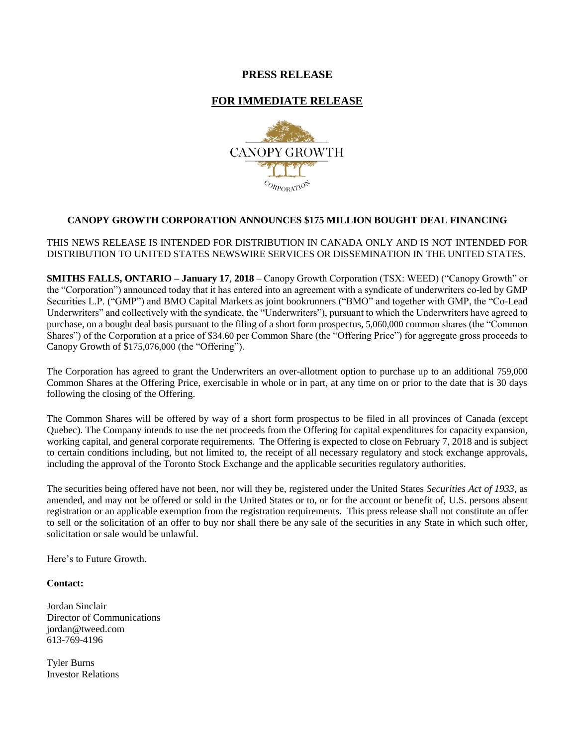## **PRESS RELEASE**

# **FOR IMMEDIATE RELEASE**



### **CANOPY GROWTH CORPORATION ANNOUNCES \$175 MILLION BOUGHT DEAL FINANCING**

THIS NEWS RELEASE IS INTENDED FOR DISTRIBUTION IN CANADA ONLY AND IS NOT INTENDED FOR DISTRIBUTION TO UNITED STATES NEWSWIRE SERVICES OR DISSEMINATION IN THE UNITED STATES.

**SMITHS FALLS, ONTARIO – January 17**, **2018** – Canopy Growth Corporation (TSX: WEED) ("Canopy Growth" or the "Corporation") announced today that it has entered into an agreement with a syndicate of underwriters co-led by GMP Securities L.P. ("GMP") and BMO Capital Markets as joint bookrunners ("BMO" and together with GMP, the "Co-Lead Underwriters" and collectively with the syndicate, the "Underwriters"), pursuant to which the Underwriters have agreed to purchase, on a bought deal basis pursuant to the filing of a short form prospectus, 5,060,000 common shares (the "Common Shares") of the Corporation at a price of \$34.60 per Common Share (the "Offering Price") for aggregate gross proceeds to Canopy Growth of \$175,076,000 (the "Offering").

The Corporation has agreed to grant the Underwriters an over-allotment option to purchase up to an additional 759,000 Common Shares at the Offering Price, exercisable in whole or in part, at any time on or prior to the date that is 30 days following the closing of the Offering.

The Common Shares will be offered by way of a short form prospectus to be filed in all provinces of Canada (except Quebec). The Company intends to use the net proceeds from the Offering for capital expenditures for capacity expansion, working capital, and general corporate requirements. The Offering is expected to close on February 7, 2018 and is subject to certain conditions including, but not limited to, the receipt of all necessary regulatory and stock exchange approvals, including the approval of the Toronto Stock Exchange and the applicable securities regulatory authorities.

The securities being offered have not been, nor will they be, registered under the United States *Securities Act of 1933*, as amended, and may not be offered or sold in the United States or to, or for the account or benefit of, U.S. persons absent registration or an applicable exemption from the registration requirements. This press release shall not constitute an offer to sell or the solicitation of an offer to buy nor shall there be any sale of the securities in any State in which such offer, solicitation or sale would be unlawful.

Here's to Future Growth.

#### **Contact:**

Jordan Sinclair Director of Communications [jordan@tweed.com](mailto:jordan@tweed.com) 613-769-4196

Tyler Burns Investor Relations